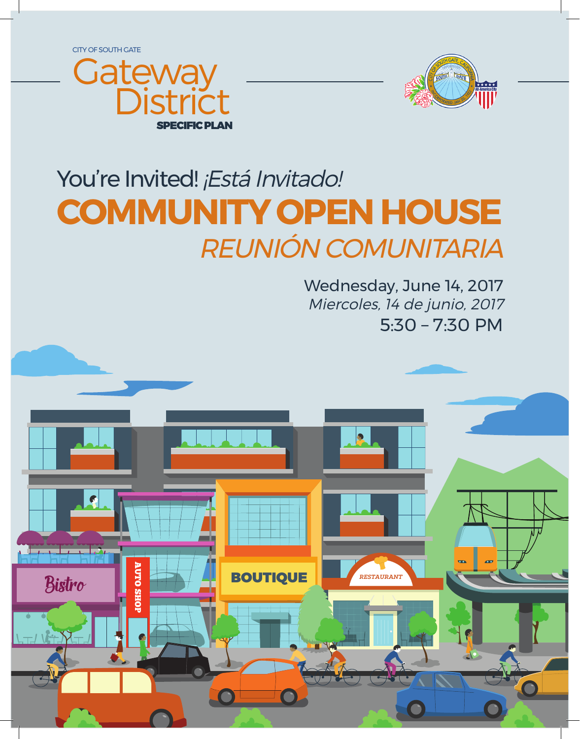CITY OF SOUTH GATE





# You're Invited! ¡Está Invitado! **COMMUNITY OPEN HOUSE** REUNIÓN COMUNITARIA

5:30 – 7:30 PM Wednesday, June 14, 2017 Miercoles, 14 de junio, 2017